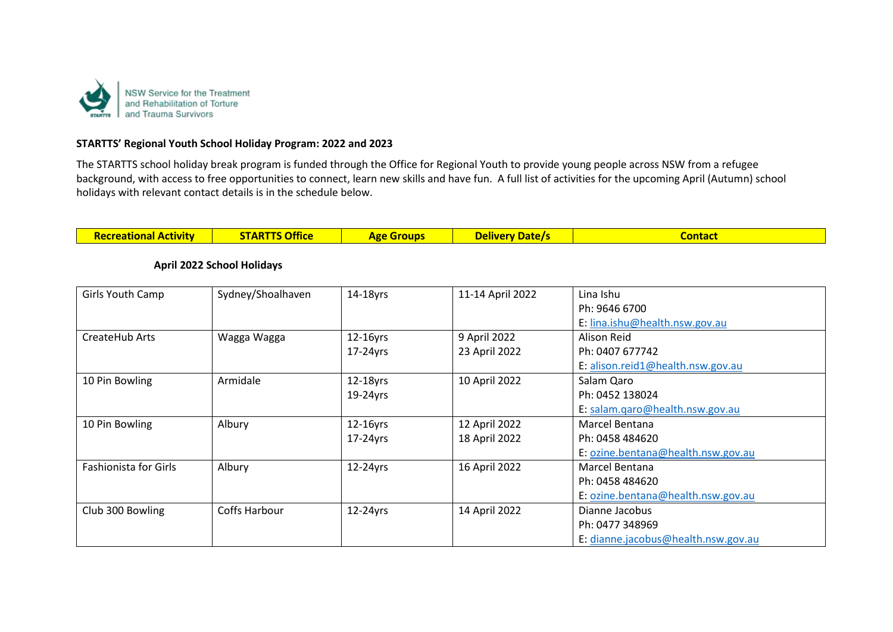

#### **STARTTS' Regional Youth School Holiday Program: 2022 and 2023**

The STARTTS school holiday break program is funded through the Office for Regional Youth to provide young people across NSW from a refugee background, with access to free opportunities to connect, learn new skills and have fun. A full list of activities for the upcoming April (Autumn) school holidays with relevant contact details is in the schedule below.

| <b>TARTO ACCI</b><br>Docrantiana | zontac <sup>,</sup><br>n re<br><u> TIV DAIL</u> |  |
|----------------------------------|-------------------------------------------------|--|
|----------------------------------|-------------------------------------------------|--|

| Girls Youth Camp             | Sydney/Shoalhaven | 14-18yrs    | 11-14 April 2022 | Lina Ishu                           |
|------------------------------|-------------------|-------------|------------------|-------------------------------------|
|                              |                   |             |                  | Ph: 9646 6700                       |
|                              |                   |             |                  | E: lina.ishu@health.nsw.gov.au      |
| CreateHub Arts               | Wagga Wagga       | $12-16$ yrs | 9 April 2022     | Alison Reid                         |
|                              |                   | $17-24$ yrs | 23 April 2022    | Ph: 0407 677742                     |
|                              |                   |             |                  | E: alison.reid1@health.nsw.gov.au   |
| 10 Pin Bowling               | Armidale          | $12-18$ yrs | 10 April 2022    | Salam Qaro                          |
|                              |                   | $19-24$ yrs |                  | Ph: 0452 138024                     |
|                              |                   |             |                  | E: salam.qaro@health.nsw.gov.au     |
| 10 Pin Bowling               | Albury            | $12-16$ yrs | 12 April 2022    | Marcel Bentana                      |
|                              |                   | $17-24$ yrs | 18 April 2022    | Ph: 0458 484620                     |
|                              |                   |             |                  | E: ozine.bentana@health.nsw.gov.au  |
| <b>Fashionista for Girls</b> | Albury            | 12-24yrs    | 16 April 2022    | Marcel Bentana                      |
|                              |                   |             |                  | Ph: 0458 484620                     |
|                              |                   |             |                  | E: ozine.bentana@health.nsw.gov.au  |
| Club 300 Bowling             | Coffs Harbour     | 12-24yrs    | 14 April 2022    | Dianne Jacobus                      |
|                              |                   |             |                  | Ph: 0477 348969                     |
|                              |                   |             |                  | E: dianne.jacobus@health.nsw.gov.au |

#### **April 2022 School Holidays**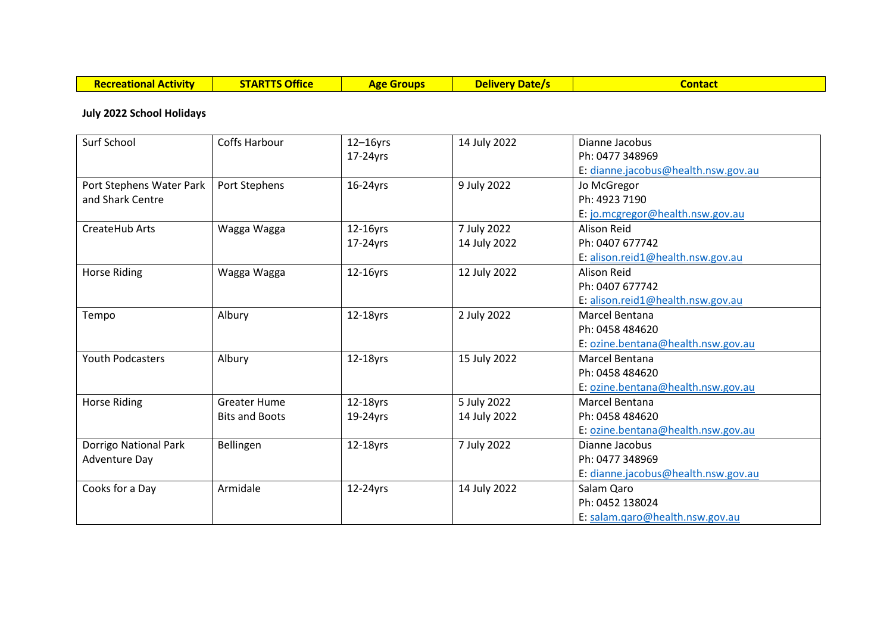| <b>Activity</b><br>Recreational | <b>Office</b><br>'A DT<br>. . | ATO | <b>Datel</b><br><b>Delivery</b> | contact |
|---------------------------------|-------------------------------|-----|---------------------------------|---------|
|                                 |                               |     |                                 |         |

## **July 2022 School Holidays**

| Surf School              | <b>Coffs Harbour</b>  | $12-16$ yrs | 14 July 2022 | Dianne Jacobus                      |
|--------------------------|-----------------------|-------------|--------------|-------------------------------------|
|                          |                       | 17-24yrs    |              | Ph: 0477 348969                     |
|                          |                       |             |              | E: dianne.jacobus@health.nsw.gov.au |
| Port Stephens Water Park | Port Stephens         | $16-24$ yrs | 9 July 2022  | Jo McGregor                         |
| and Shark Centre         |                       |             |              | Ph: 4923 7190                       |
|                          |                       |             |              | E: jo.mcgregor@health.nsw.gov.au    |
| CreateHub Arts           | Wagga Wagga           | 12-16yrs    | 7 July 2022  | Alison Reid                         |
|                          |                       | 17-24yrs    | 14 July 2022 | Ph: 0407 677742                     |
|                          |                       |             |              | E: alison.reid1@health.nsw.gov.au   |
| <b>Horse Riding</b>      | Wagga Wagga           | 12-16yrs    | 12 July 2022 | Alison Reid                         |
|                          |                       |             |              | Ph: 0407 677742                     |
|                          |                       |             |              | E: alison.reid1@health.nsw.gov.au   |
| Tempo                    | Albury                | 12-18yrs    | 2 July 2022  | Marcel Bentana                      |
|                          |                       |             |              | Ph: 0458 484620                     |
|                          |                       |             |              | E: ozine.bentana@health.nsw.gov.au  |
| <b>Youth Podcasters</b>  | Albury                | 12-18yrs    | 15 July 2022 | Marcel Bentana                      |
|                          |                       |             |              | Ph: 0458 484620                     |
|                          |                       |             |              | E: ozine.bentana@health.nsw.gov.au  |
| <b>Horse Riding</b>      | <b>Greater Hume</b>   | 12-18yrs    | 5 July 2022  | Marcel Bentana                      |
|                          | <b>Bits and Boots</b> | 19-24yrs    | 14 July 2022 | Ph: 0458 484620                     |
|                          |                       |             |              | E: ozine.bentana@health.nsw.gov.au  |
| Dorrigo National Park    | Bellingen             | 12-18yrs    | 7 July 2022  | Dianne Jacobus                      |
| <b>Adventure Day</b>     |                       |             |              | Ph: 0477 348969                     |
|                          |                       |             |              | E: dianne.jacobus@health.nsw.gov.au |
| Cooks for a Day          | Armidale              | 12-24yrs    | 14 July 2022 | Salam Qaro                          |
|                          |                       |             |              | Ph: 0452 138024                     |
|                          |                       |             |              | E: salam.qaro@health.nsw.gov.au     |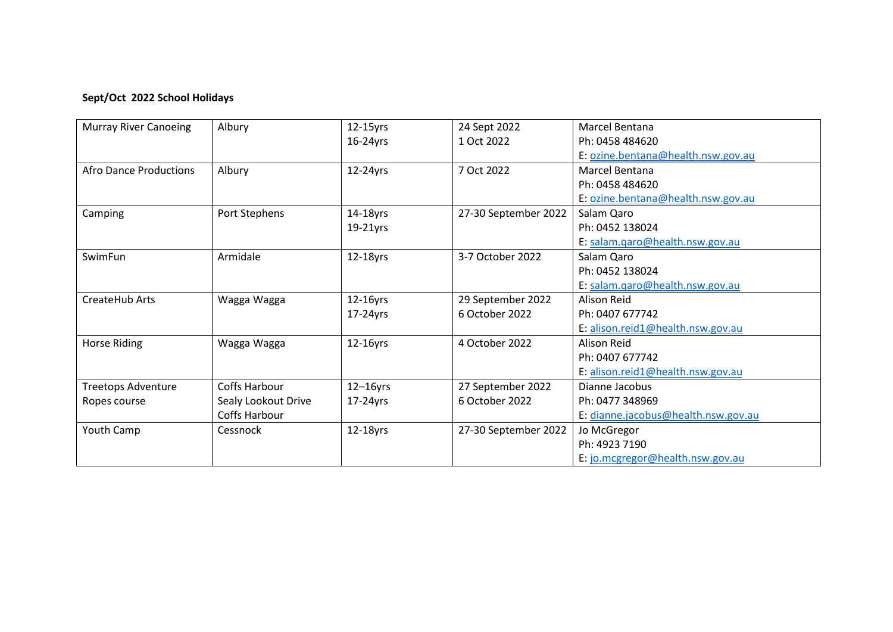# **Sept/Oct 2022 School Holidays**

| <b>Murray River Canoeing</b> | Albury              | $12-15$ yrs | 24 Sept 2022         | Marcel Bentana                      |
|------------------------------|---------------------|-------------|----------------------|-------------------------------------|
|                              |                     | $16-24$ yrs | 1 Oct 2022           | Ph: 0458 484620                     |
|                              |                     |             |                      | E: ozine.bentana@health.nsw.gov.au  |
| Afro Dance Productions       | Albury              | 12-24yrs    | 7 Oct 2022           | Marcel Bentana                      |
|                              |                     |             |                      | Ph: 0458 484620                     |
|                              |                     |             |                      | E: ozine.bentana@health.nsw.gov.au  |
| Camping                      | Port Stephens       | 14-18yrs    | 27-30 September 2022 | Salam Qaro                          |
|                              |                     | $19-21$ yrs |                      | Ph: 0452 138024                     |
|                              |                     |             |                      | E: salam.qaro@health.nsw.gov.au     |
| SwimFun                      | Armidale            | 12-18yrs    | 3-7 October 2022     | Salam Qaro                          |
|                              |                     |             |                      | Ph: 0452 138024                     |
|                              |                     |             |                      | E: salam.qaro@health.nsw.gov.au     |
| CreateHub Arts               | Wagga Wagga         | 12-16yrs    | 29 September 2022    | Alison Reid                         |
|                              |                     | 17-24yrs    | 6 October 2022       | Ph: 0407 677742                     |
|                              |                     |             |                      | E: alison.reid1@health.nsw.gov.au   |
| Horse Riding                 | Wagga Wagga         | 12-16yrs    | 4 October 2022       | Alison Reid                         |
|                              |                     |             |                      | Ph: 0407 677742                     |
|                              |                     |             |                      | E: alison.reid1@health.nsw.gov.au   |
| <b>Treetops Adventure</b>    | Coffs Harbour       | $12-16$ yrs | 27 September 2022    | Dianne Jacobus                      |
| Ropes course                 | Sealy Lookout Drive | 17-24yrs    | 6 October 2022       | Ph: 0477 348969                     |
|                              | Coffs Harbour       |             |                      | E: dianne.jacobus@health.nsw.gov.au |
| Youth Camp                   | Cessnock            | 12-18yrs    | 27-30 September 2022 | Jo McGregor                         |
|                              |                     |             |                      | Ph: 4923 7190                       |
|                              |                     |             |                      | E: jo.mcgregor@health.nsw.gov.au    |